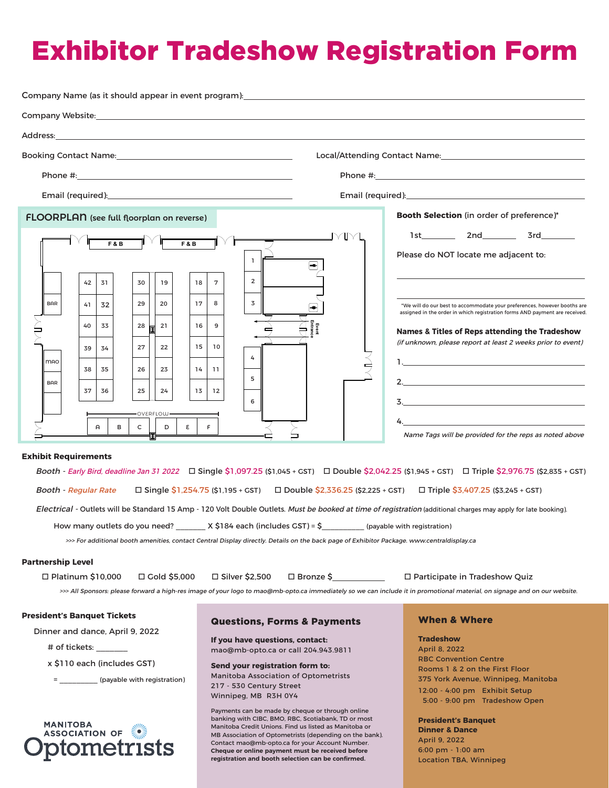## Exhibitor Tradeshow Registration Form

| Address: the contract of the contract of the contract of the contract of the contract of the contract of the contract of the contract of the contract of the contract of the contract of the contract of the contract of the c                                                                                                                                                                                                                                       |                                                                                                                                                                                                                                                                                                                                                                                                                                                                                                                                                                                                                                                    |                                                                                                                                                                                                                                                                                                                                                                                                                                                                                               |
|----------------------------------------------------------------------------------------------------------------------------------------------------------------------------------------------------------------------------------------------------------------------------------------------------------------------------------------------------------------------------------------------------------------------------------------------------------------------|----------------------------------------------------------------------------------------------------------------------------------------------------------------------------------------------------------------------------------------------------------------------------------------------------------------------------------------------------------------------------------------------------------------------------------------------------------------------------------------------------------------------------------------------------------------------------------------------------------------------------------------------------|-----------------------------------------------------------------------------------------------------------------------------------------------------------------------------------------------------------------------------------------------------------------------------------------------------------------------------------------------------------------------------------------------------------------------------------------------------------------------------------------------|
|                                                                                                                                                                                                                                                                                                                                                                                                                                                                      |                                                                                                                                                                                                                                                                                                                                                                                                                                                                                                                                                                                                                                                    |                                                                                                                                                                                                                                                                                                                                                                                                                                                                                               |
|                                                                                                                                                                                                                                                                                                                                                                                                                                                                      |                                                                                                                                                                                                                                                                                                                                                                                                                                                                                                                                                                                                                                                    | Phone #: New York Phone # 2009                                                                                                                                                                                                                                                                                                                                                                                                                                                                |
| Email (required): <u>contract and the set of the set of the set of the set of the set of the set of the set of the set of the set of the set of the set of the set of the set of the set of the set of the set of the set of the</u>                                                                                                                                                                                                                                 |                                                                                                                                                                                                                                                                                                                                                                                                                                                                                                                                                                                                                                                    |                                                                                                                                                                                                                                                                                                                                                                                                                                                                                               |
| <b>FLOORPLAN</b> (see full floorplan on reverse)<br><b>F&amp;B</b><br><b>F&amp;B</b><br>31<br>30<br>19<br>18<br>42<br>29<br><b>BAR</b><br>20<br>17<br>32<br>41<br>28<br>40<br>33<br>21<br>16<br>27<br>15 <sub>1</sub><br>22<br>39<br>34<br><b>MAO</b><br>35<br>26<br>23<br>38<br>14<br><b>BAR</b><br>37<br>36<br>25<br>24<br>13<br>OVERFLOW-<br>ε<br>A<br>в<br>c<br>D<br><b>Exhibit Requirements</b><br><b>Booth - Regular Rate</b><br>How many outlets do you need? | YIM<br>$\mathbf{1}$<br>$\bigoplus$<br>$\overline{2}$<br>7<br>3<br>8<br>9<br>10<br>4<br>11<br>5<br>12<br>6<br>$\mathsf{F}$<br>Booth - Early Bird, deadline Jan 31 2022  □ Single \$1,097.25 (\$1,045 + GST)  □ Double \$2,042.25 (\$1,945 + GST)  □ Triple \$2,976.75 (\$2,835 + GST)<br>□ Single \$1,254.75 (\$1,195 + GST) □ Double \$2,336.25 (\$2,225 + GST) □ Triple \$3,407.25 (\$3,245 + GST)<br>Electrical - Outlets will be Standard 15 Amp - 120 Volt Double Outlets. Must be booked at time of registration (additional charges may apply for late booking).<br>$X$ \$184 each (includes GST) = \$                                       | Booth Selection (in order of preference)*<br>1st 2nd<br>3rd and<br>Please do NOT locate me adjacent to:<br>*We will do our best to accommodate your preferences, however booths are<br>assigned in the order in which registration forms AND payment are received.<br>Names & Titles of Reps attending the Tradeshow<br>(if unknown, please report at least 2 weeks prior to event)<br>$\mathbf{3.}$<br>Name Tags will be provided for the reps as noted above<br>(payable with registration) |
|                                                                                                                                                                                                                                                                                                                                                                                                                                                                      | >>> For additional booth amenities, contact Central Display directly. Details on the back page of Exhibitor Package. www.centraldisplay.ca                                                                                                                                                                                                                                                                                                                                                                                                                                                                                                         |                                                                                                                                                                                                                                                                                                                                                                                                                                                                                               |
| <b>Partnership Level</b><br>□ Platinum \$10,000<br>$\Box$ Gold \$5,000                                                                                                                                                                                                                                                                                                                                                                                               | $\square$ Silver \$2,500<br>>>> All Sponsors: please forward a high-res image of your logo to mao@mb-opto.ca immediately so we can include it in promotional material, on signage and on our website.                                                                                                                                                                                                                                                                                                                                                                                                                                              | □ Bronze \$_________________ □ Participate in Tradeshow Quiz                                                                                                                                                                                                                                                                                                                                                                                                                                  |
| <b>President's Banquet Tickets</b><br>Dinner and dance, April 9, 2022<br># of tickets:<br>x \$110 each (includes GST)<br>= ____________(payable with registration)<br>MANITOBA<br>ASSOCIATION OF<br>tometrists                                                                                                                                                                                                                                                       | <b>Questions, Forms &amp; Payments</b><br>If you have questions, contact:<br>mao@mb-opto.ca or call 204.943.9811<br>Send your registration form to:<br><b>Manitoba Association of Optometrists</b><br>217 - 530 Century Street<br>Winnipeg, MB R3H 0Y4<br>Payments can be made by cheque or through online<br>banking with CIBC, BMO, RBC, Scotiabank, TD or most<br>Manitoba Credit Unions. Find us listed as Manitoba or<br>MB Association of Optometrists (depending on the bank).<br>Contact mao@mb-opto.ca for your Account Number.<br>Cheque or online payment must be received before<br>registration and booth selection can be confirmed. | <b>When &amp; Where</b><br><b>Tradeshow</b><br>April 8, 2022<br><b>RBC Convention Centre</b><br>Rooms 1 & 2 on the First Floor<br>375 York Avenue, Winnipeg, Manitoba<br>12:00 - 4:00 pm Exhibit Setup<br>5:00 - 9:00 pm Tradeshow Open<br><b>President's Banquet</b><br><b>Dinner &amp; Dance</b><br>April 9, 2022<br>6:00 pm - 1:00 am<br><b>Location TBA, Winnipeg</b>                                                                                                                     |



## 5:00 - 9:00 pm Tradeshow Open

## **President's Banquet**